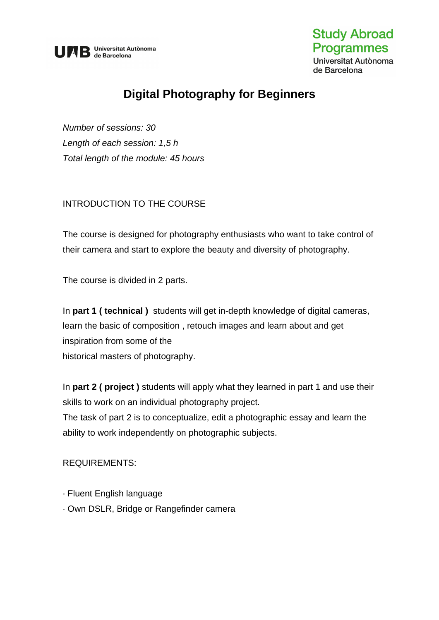

## **Study Abroad Programmes** Universitat Autònoma

de Barcelona

# **Digital Photography for Beginners**

*Number of sessions: 30 Length of each session: 1,5 h Total length of the module: 45 hours* 

## INTRODUCTION TO THE COURSE

The course is designed for photography enthusiasts who want to take control of their camera and start to explore the beauty and diversity of photography.

The course is divided in 2 parts.

In **part 1 ( technical )** students will get in-depth knowledge of digital cameras, learn the basic of composition , retouch images and learn about and get inspiration from some of the historical masters of photography.

In **part 2 ( project )** students will apply what they learned in part 1 and use their skills to work on an individual photography project.

The task of part 2 is to conceptualize, edit a photographic essay and learn the ability to work independently on photographic subjects.

#### REQUIREMENTS:

- · Fluent English language
- · Own DSLR, Bridge or Rangefinder camera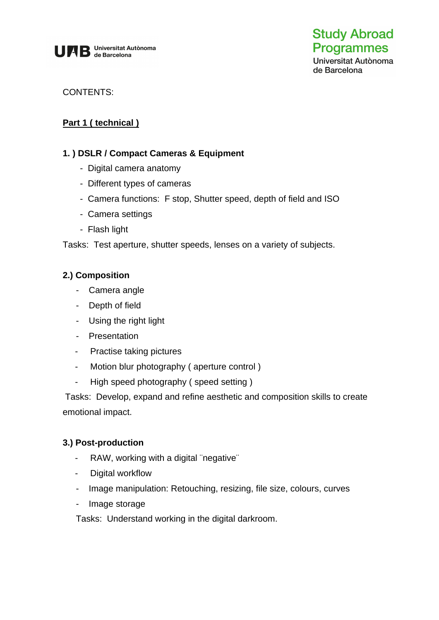

de Barcelona

#### CONTENTS:

## **Part 1 ( technical )**

#### **1. ) DSLR / Compact Cameras & Equipment**

- Digital camera anatomy
- Different types of cameras
- Camera functions: F stop, Shutter speed, depth of field and ISO
- Camera settings
- Flash light

Tasks: Test aperture, shutter speeds, lenses on a variety of subjects.

#### **2.) Composition**

- Camera angle
- Depth of field
- Using the right light
- Presentation
- Practise taking pictures
- Motion blur photography ( aperture control )
- High speed photography ( speed setting )

Tasks: Develop, expand and refine aesthetic and composition skills to create emotional impact.

#### **3.) Post-production**

- RAW, working with a digital ¨negative¨
- Digital workflow
- Image manipulation: Retouching, resizing, file size, colours, curves
- Image storage

Tasks: Understand working in the digital darkroom.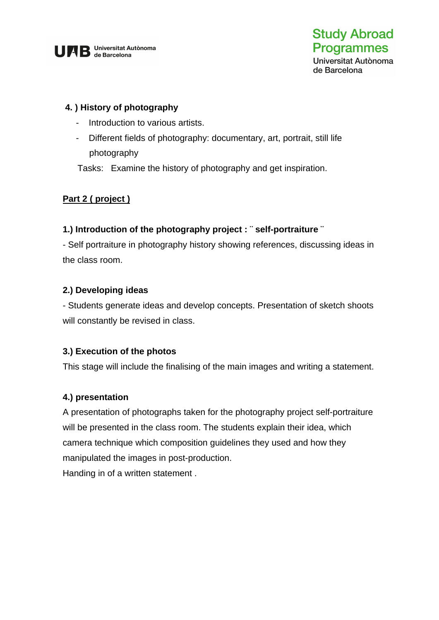

## **4. ) History of photography**

- Introduction to various artists.
- Different fields of photography: documentary, art, portrait, still life photography

Tasks: Examine the history of photography and get inspiration.

## **Part 2 ( project )**

## **1.) Introduction of the photography project : ¨ self-portraiture ¨**

- Self portraiture in photography history showing references, discussing ideas in the class room.

## **2.) Developing ideas**

- Students generate ideas and develop concepts. Presentation of sketch shoots will constantly be revised in class.

## **3.) Execution of the photos**

This stage will include the finalising of the main images and writing a statement.

## **4.) presentation**

A presentation of photographs taken for the photography project self-portraiture will be presented in the class room. The students explain their idea, which camera technique which composition guidelines they used and how they manipulated the images in post-production.

Handing in of a written statement .